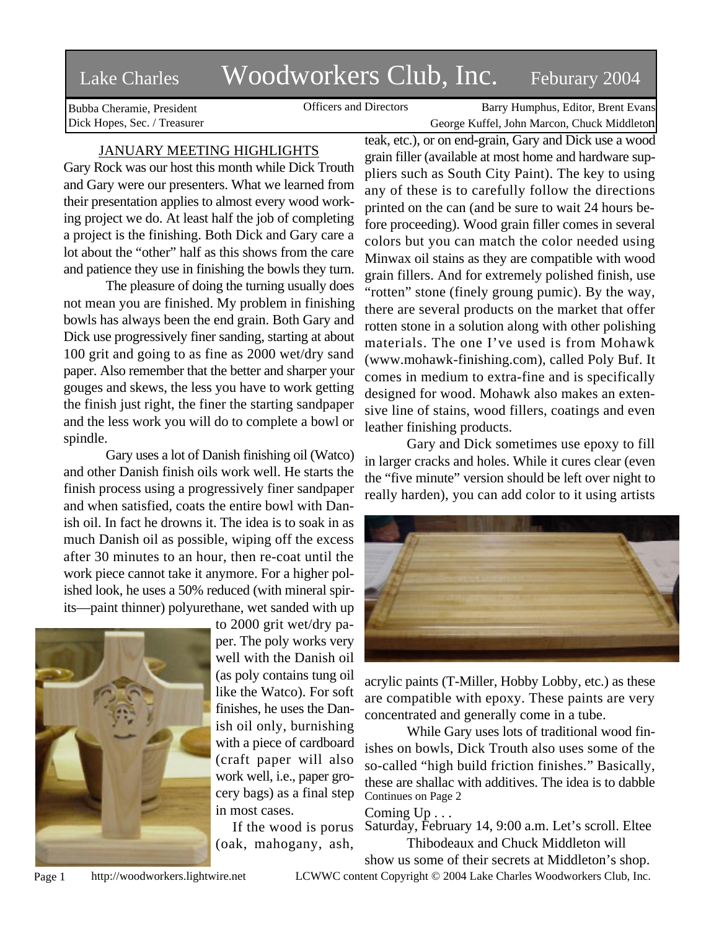# Lake Charles Woodworkers Club, Inc. Feburary 2004

Bubba Cheramie, President Dick Hopes, Sec. / Treasurer

Officers and Directors Barry Humphus, Editor, Brent Evans George Kuffel, John Marcon, Chuck Middleton

## JANUARY MEETING HIGHLIGHTS

Gary Rock was our host this month while Dick Trouth and Gary were our presenters. What we learned from their presentation applies to almost every wood working project we do. At least half the job of completing a project is the finishing. Both Dick and Gary care a lot about the "other" half as this shows from the care and patience they use in finishing the bowls they turn.

The pleasure of doing the turning usually does not mean you are finished. My problem in finishing bowls has always been the end grain. Both Gary and Dick use progressively finer sanding, starting at about 100 grit and going to as fine as 2000 wet/dry sand paper. Also remember that the better and sharper your gouges and skews, the less you have to work getting the finish just right, the finer the starting sandpaper and the less work you will do to complete a bowl or spindle.

Gary uses a lot of Danish finishing oil (Watco) and other Danish finish oils work well. He starts the finish process using a progressively finer sandpaper and when satisfied, coats the entire bowl with Danish oil. In fact he drowns it. The idea is to soak in as much Danish oil as possible, wiping off the excess after 30 minutes to an hour, then re-coat until the work piece cannot take it anymore. For a higher polished look, he uses a 50% reduced (with mineral spirits—paint thinner) polyurethane, wet sanded with up



to 2000 grit wet/dry paper. The poly works very well with the Danish oil (as poly contains tung oil like the Watco). For soft finishes, he uses the Danish oil only, burnishing with a piece of cardboard (craft paper will also work well, i.e., paper grocery bags) as a final step in most cases.

If the wood is porus (oak, mahogany, ash, teak, etc.), or on end-grain, Gary and Dick use a wood grain filler (available at most home and hardware suppliers such as South City Paint). The key to using any of these is to carefully follow the directions printed on the can (and be sure to wait 24 hours before proceeding). Wood grain filler comes in several colors but you can match the color needed using Minwax oil stains as they are compatible with wood grain fillers. And for extremely polished finish, use "rotten" stone (finely groung pumic). By the way, there are several products on the market that offer rotten stone in a solution along with other polishing materials. The one I've used is from Mohawk (www.mohawk-finishing.com), called Poly Buf. It comes in medium to extra-fine and is specifically designed for wood. Mohawk also makes an extensive line of stains, wood fillers, coatings and even leather finishing products.

Gary and Dick sometimes use epoxy to fill in larger cracks and holes. While it cures clear (even the "five minute" version should be left over night to really harden), you can add color to it using artists



acrylic paints (T-Miller, Hobby Lobby, etc.) as these are compatible with epoxy. These paints are very concentrated and generally come in a tube.

While Gary uses lots of traditional wood finishes on bowls, Dick Trouth also uses some of the so-called "high build friction finishes." Basically, these are shallac with additives. The idea is to dabble Continues on Page 2

## Coming Up . . .

Saturday, February 14, 9:00 a.m. Let's scroll. Eltee Thibodeaux and Chuck Middleton will

show us some of their secrets at Middleton's shop.

Page 1 http://woodworkers.lightwire.net LCWWC content Copyright © 2004 Lake Charles Woodworkers Club, Inc.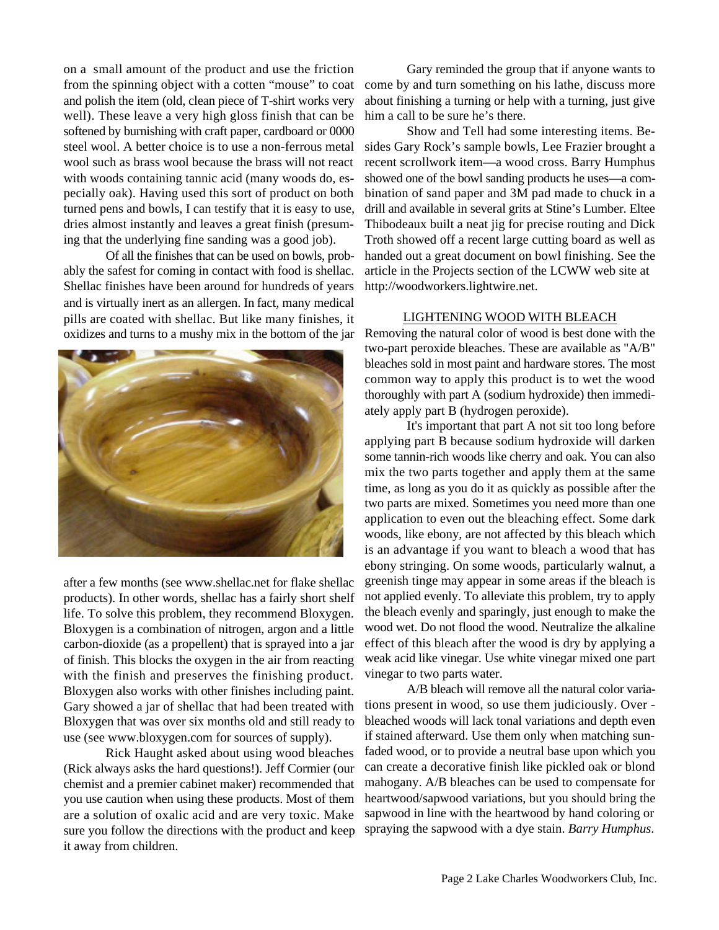on a small amount of the product and use the friction from the spinning object with a cotten "mouse" to coat and polish the item (old, clean piece of T-shirt works very well). These leave a very high gloss finish that can be softened by burnishing with craft paper, cardboard or 0000 steel wool. A better choice is to use a non-ferrous metal wool such as brass wool because the brass will not react with woods containing tannic acid (many woods do, especially oak). Having used this sort of product on both turned pens and bowls, I can testify that it is easy to use, dries almost instantly and leaves a great finish (presuming that the underlying fine sanding was a good job).

Of all the finishes that can be used on bowls, probably the safest for coming in contact with food is shellac. Shellac finishes have been around for hundreds of years and is virtually inert as an allergen. In fact, many medical pills are coated with shellac. But like many finishes, it oxidizes and turns to a mushy mix in the bottom of the jar



after a few months (see www.shellac.net for flake shellac products). In other words, shellac has a fairly short shelf life. To solve this problem, they recommend Bloxygen. Bloxygen is a combination of nitrogen, argon and a little carbon-dioxide (as a propellent) that is sprayed into a jar of finish. This blocks the oxygen in the air from reacting with the finish and preserves the finishing product. Bloxygen also works with other finishes including paint. Gary showed a jar of shellac that had been treated with Bloxygen that was over six months old and still ready to use (see www.bloxygen.com for sources of supply).

Rick Haught asked about using wood bleaches (Rick always asks the hard questions!). Jeff Cormier (our chemist and a premier cabinet maker) recommended that you use caution when using these products. Most of them are a solution of oxalic acid and are very toxic. Make sure you follow the directions with the product and keep it away from children.

Gary reminded the group that if anyone wants to come by and turn something on his lathe, discuss more about finishing a turning or help with a turning, just give him a call to be sure he's there.

Show and Tell had some interesting items. Besides Gary Rock's sample bowls, Lee Frazier brought a recent scrollwork item—a wood cross. Barry Humphus showed one of the bowl sanding products he uses—a combination of sand paper and 3M pad made to chuck in a drill and available in several grits at Stine's Lumber. Eltee Thibodeaux built a neat jig for precise routing and Dick Troth showed off a recent large cutting board as well as handed out a great document on bowl finishing. See the article in the Projects section of the LCWW web site at http://woodworkers.lightwire.net.

#### LIGHTENING WOOD WITH BLEACH

Removing the natural color of wood is best done with the two-part peroxide bleaches. These are available as "A/B" bleaches sold in most paint and hardware stores. The most common way to apply this product is to wet the wood thoroughly with part A (sodium hydroxide) then immediately apply part B (hydrogen peroxide).

It's important that part A not sit too long before applying part B because sodium hydroxide will darken some tannin-rich woods like cherry and oak. You can also mix the two parts together and apply them at the same time, as long as you do it as quickly as possible after the two parts are mixed. Sometimes you need more than one application to even out the bleaching effect. Some dark woods, like ebony, are not affected by this bleach which is an advantage if you want to bleach a wood that has ebony stringing. On some woods, particularly walnut, a greenish tinge may appear in some areas if the bleach is not applied evenly. To alleviate this problem, try to apply the bleach evenly and sparingly, just enough to make the wood wet. Do not flood the wood. Neutralize the alkaline effect of this bleach after the wood is dry by applying a weak acid like vinegar. Use white vinegar mixed one part vinegar to two parts water.

A/B bleach will remove all the natural color variations present in wood, so use them judiciously. Over bleached woods will lack tonal variations and depth even if stained afterward. Use them only when matching sunfaded wood, or to provide a neutral base upon which you can create a decorative finish like pickled oak or blond mahogany. A/B bleaches can be used to compensate for heartwood/sapwood variations, but you should bring the sapwood in line with the heartwood by hand coloring or spraying the sapwood with a dye stain. *Barry Humphus*.